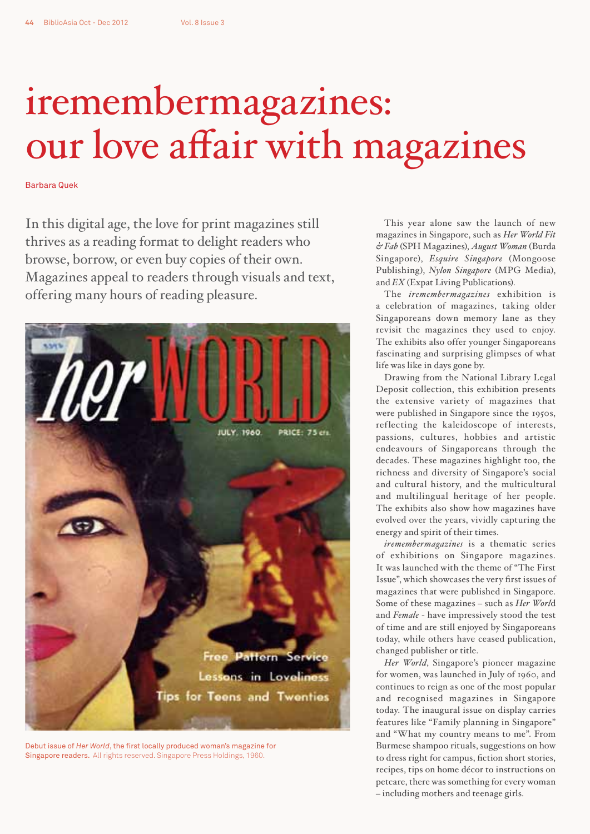## iremembermagazines: our love affair with magazines

Barbara Quek

In this digital age, the love for print magazines still thrives as a reading format to delight readers who browse, borrow, or even buy copies of their own. Magazines appeal to readers through visuals and text, offering many hours of reading pleasure.



Debut issue of *Her World*, the first locally produced woman's magazine for Singapore readers. All rights reserved. Singapore Press Holdings, 1960.

This year alone saw the launch of new magazines in Singapore, such as *Her World Fit & Fab* (SPH Magazines), *August Woman* (Burda Singapore), *Esquire Singapore* (Mongoose Publishing), *Nylon Singapore* (MPG Media), and *EX* (Expat Living Publications).

The *iremembermagazines* exhibition is a celebration of magazines, taking older Singaporeans down memory lane as they revisit the magazines they used to enjoy. The exhibits also offer younger Singaporeans fascinating and surprising glimpses of what life was like in days gone by.

Drawing from the National Library Legal Deposit collection, this exhibition presents the extensive variety of magazines that were published in Singapore since the 1950s, reflecting the kaleidoscope of interests, passions, cultures, hobbies and artistic endeavours of Singaporeans through the decades. These magazines highlight too, the richness and diversity of Singapore's social and cultural history, and the multicultural and multilingual heritage of her people. The exhibits also show how magazines have evolved over the years, vividly capturing the energy and spirit of their times.

*iremembermagazines* is a thematic series of exhibitions on Singapore magazines. It was launched with the theme of "The First Issue", which showcases the very first issues of magazines that were published in Singapore. Some of these magazines – such as *Her Worl*d and *Female* - have impressively stood the test of time and are still enjoyed by Singaporeans today, while others have ceased publication, changed publisher or title.

*Her World*, Singapore's pioneer magazine for women, was launched in July of 1960, and continues to reign as one of the most popular and recognised magazines in Singapore today. The inaugural issue on display carries features like "Family planning in Singapore" and "What my country means to me". From Burmese shampoo rituals, suggestions on how to dress right for campus, fiction short stories, recipes, tips on home décor to instructions on petcare, there was something for every woman – including mothers and teenage girls.